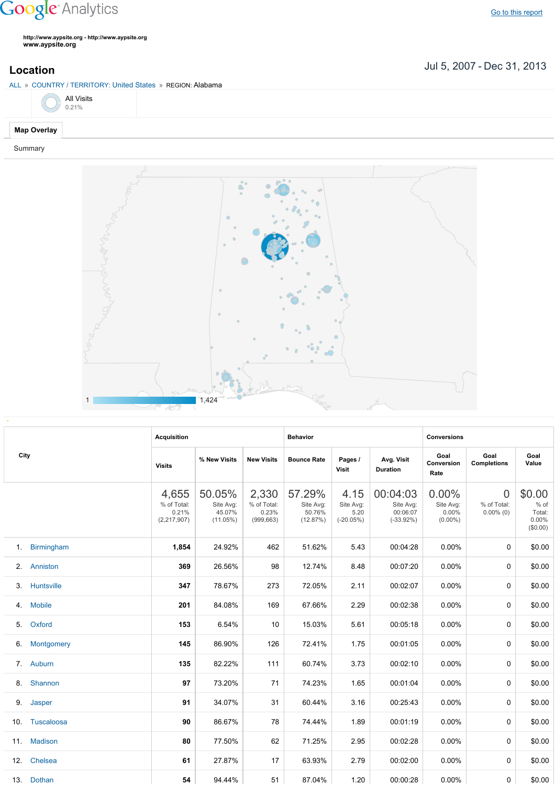## **Google** Analytics

**http://www.aypsite.org http://www.aypsite.org www.aypsite.org**

Jul 5, 2007 Dec 31, 2013 **Location**



Summary



|     | City          | <b>Acquisition</b>                             |                                              |                                             | <b>Behavior</b>                           |                                          |                                                   | <b>Conversions</b>                        |                                               |                                                 |  |
|-----|---------------|------------------------------------------------|----------------------------------------------|---------------------------------------------|-------------------------------------------|------------------------------------------|---------------------------------------------------|-------------------------------------------|-----------------------------------------------|-------------------------------------------------|--|
|     |               | <b>Visits</b>                                  | % New Visits                                 | <b>New Visits</b>                           | <b>Bounce Rate</b>                        | Pages /<br>Visit                         | Avg. Visit<br><b>Duration</b>                     | Goal<br>Conversion<br>Rate                | Goal<br><b>Completions</b>                    | Goal<br>Value                                   |  |
|     |               | 4,655<br>% of Total:<br>0.21%<br>(2, 217, 907) | 50.05%<br>Site Avg:<br>45.07%<br>$(11.05\%)$ | 2,330<br>% of Total:<br>0.23%<br>(999, 663) | 57.29%<br>Site Avg:<br>50.76%<br>(12.87%) | 4.15<br>Site Avg:<br>5.20<br>$(-20.05%)$ | 00:04:03<br>Site Avg:<br>00:06:07<br>$(-33.92\%)$ | 0.00%<br>Site Avg:<br>0.00%<br>$(0.00\%)$ | $\overline{0}$<br>% of Total:<br>$0.00\%$ (0) | \$0.00<br>$%$ of<br>Total:<br>0.00%<br>(\$0.00) |  |
|     | 1. Birmingham | 1,854                                          | 24.92%                                       | 462                                         | 51.62%                                    | 5.43                                     | 00:04:28                                          | 0.00%                                     | 0                                             | \$0.00                                          |  |
| 2.  | Anniston      | 369                                            | 26.56%                                       | 98                                          | 12.74%                                    | 8.48                                     | 00:07:20                                          | 0.00%                                     | 0                                             | \$0.00                                          |  |
| 3.  | Huntsville    | 347                                            | 78.67%                                       | 273                                         | 72.05%                                    | 2.11                                     | 00:02:07                                          | 0.00%                                     | 0                                             | \$0.00                                          |  |
| 4.  | <b>Mobile</b> | 201                                            | 84.08%                                       | 169                                         | 67.66%                                    | 2.29                                     | 00:02:38                                          | 0.00%                                     | 0                                             | \$0.00                                          |  |
| 5.  | Oxford        | 153                                            | 6.54%                                        | 10                                          | 15.03%                                    | 5.61                                     | 00:05:18                                          | 0.00%                                     | 0                                             | \$0.00                                          |  |
|     | 6. Montgomery | 145                                            | 86.90%                                       | 126                                         | 72.41%                                    | 1.75                                     | 00:01:05                                          | 0.00%                                     | 0                                             | \$0.00                                          |  |
|     | 7. Auburn     | 135                                            | 82.22%                                       | 111                                         | 60.74%                                    | 3.73                                     | 00:02:10                                          | 0.00%                                     | 0                                             | \$0.00                                          |  |
| 8.  | Shannon       | 97                                             | 73.20%                                       | 71                                          | 74.23%                                    | 1.65                                     | 00:01:04                                          | 0.00%                                     | 0                                             | \$0.00                                          |  |
| 9.  | Jasper        | 91                                             | 34.07%                                       | 31                                          | 60.44%                                    | 3.16                                     | 00:25:43                                          | 0.00%                                     | $\Omega$                                      | \$0.00                                          |  |
| 10. | Tuscaloosa    | 90                                             | 86.67%                                       | 78                                          | 74.44%                                    | 1.89                                     | 00:01:19                                          | 0.00%                                     | $\Omega$                                      | \$0.00                                          |  |
|     | 11. Madison   | 80                                             | 77.50%                                       | 62                                          | 71.25%                                    | 2.95                                     | 00:02:28                                          | 0.00%                                     | $\Omega$                                      | \$0.00                                          |  |
| 12. | Chelsea       | 61                                             | 27.87%                                       | 17                                          | 63.93%                                    | 2.79                                     | 00:02:00                                          | $0.00\%$                                  | $\Omega$                                      | \$0.00                                          |  |
|     | 13. Dothan    | 54                                             | 94.44%                                       | 51                                          | 87.04%                                    | 1.20                                     | 00:00:28                                          | 0.00%                                     | 0                                             | \$0.00                                          |  |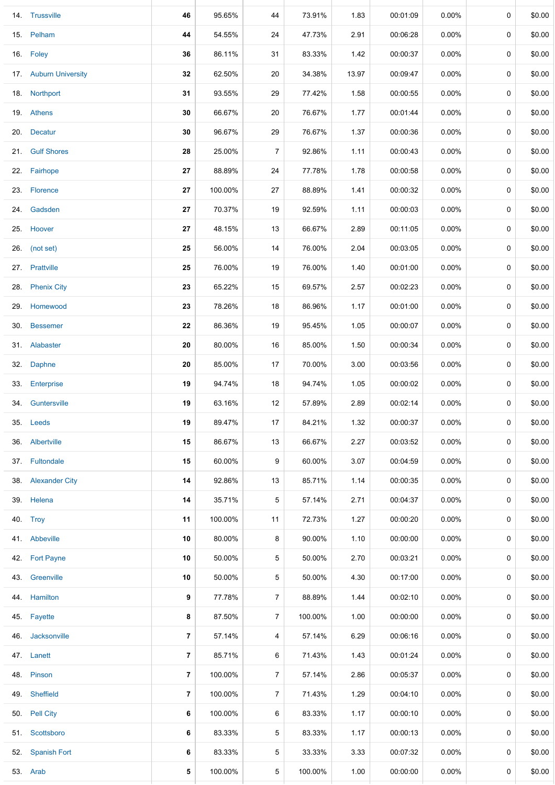| 14. Trussville        | 46                      | 95.65%  | 44             | 73.91%  | 1.83  | 00:01:09 | $0.00\%$ | 0 | \$0.00 |
|-----------------------|-------------------------|---------|----------------|---------|-------|----------|----------|---|--------|
| 15. Pelham            | 44                      | 54.55%  | 24             | 47.73%  | 2.91  | 00:06:28 | $0.00\%$ | 0 | \$0.00 |
| 16. Foley             | 36                      | 86.11%  | 31             | 83.33%  | 1.42  | 00:00:37 | $0.00\%$ | 0 | \$0.00 |
| 17. Auburn University | 32                      | 62.50%  | 20             | 34.38%  | 13.97 | 00:09:47 | $0.00\%$ | 0 | \$0.00 |
| 18. Northport         | 31                      | 93.55%  | 29             | 77.42%  | 1.58  | 00:00:55 | $0.00\%$ | 0 | \$0.00 |
| 19. Athens            | 30                      | 66.67%  | 20             | 76.67%  | 1.77  | 00:01:44 | $0.00\%$ | 0 | \$0.00 |
| 20. Decatur           | 30                      | 96.67%  | 29             | 76.67%  | 1.37  | 00:00:36 | $0.00\%$ | 0 | \$0.00 |
| 21. Gulf Shores       | 28                      | 25.00%  | $\overline{7}$ | 92.86%  | 1.11  | 00:00:43 | $0.00\%$ | 0 | \$0.00 |
| 22. Fairhope          | 27                      | 88.89%  | 24             | 77.78%  | 1.78  | 00:00:58 | $0.00\%$ | 0 | \$0.00 |
| 23. Florence          | 27                      | 100.00% | 27             | 88.89%  | 1.41  | 00:00:32 | $0.00\%$ | 0 | \$0.00 |
| 24. Gadsden           | 27                      | 70.37%  | 19             | 92.59%  | 1.11  | 00:00:03 | $0.00\%$ | 0 | \$0.00 |
| 25. Hoover            | 27                      | 48.15%  | 13             | 66.67%  | 2.89  | 00:11:05 | 0.00%    | 0 | \$0.00 |
| 26. (not set)         | 25                      | 56.00%  | 14             | 76.00%  | 2.04  | 00:03:05 | $0.00\%$ | 0 | \$0.00 |
| 27. Prattville        | 25                      | 76.00%  | 19             | 76.00%  | 1.40  | 00:01:00 | $0.00\%$ | 0 | \$0.00 |
| 28. Phenix City       | 23                      | 65.22%  | 15             | 69.57%  | 2.57  | 00:02:23 | $0.00\%$ | 0 | \$0.00 |
| 29. Homewood          | 23                      | 78.26%  | 18             | 86.96%  | 1.17  | 00:01:00 | $0.00\%$ | 0 | \$0.00 |
| 30. Bessemer          | 22                      | 86.36%  | 19             | 95.45%  | 1.05  | 00:00:07 | $0.00\%$ | 0 | \$0.00 |
| 31. Alabaster         | 20                      | 80.00%  | 16             | 85.00%  | 1.50  | 00:00:34 | $0.00\%$ | 0 | \$0.00 |
| 32. Daphne            | 20                      | 85.00%  | 17             | 70.00%  | 3.00  | 00:03:56 | $0.00\%$ | 0 | \$0.00 |
| 33. Enterprise        | 19                      | 94.74%  | 18             | 94.74%  | 1.05  | 00:00:02 | $0.00\%$ | 0 | \$0.00 |
| 34. Guntersville      | 19                      | 63.16%  | 12             | 57.89%  | 2.89  | 00:02:14 | $0.00\%$ | 0 | \$0.00 |
| 35. Leeds             | 19                      | 89.47%  | 17             | 84.21%  | 1.32  | 00:00:37 | $0.00\%$ | 0 | \$0.00 |
| 36. Albertville       | 15                      | 86.67%  | 13             | 66.67%  | 2.27  | 00:03:52 | $0.00\%$ | 0 | \$0.00 |
| 37. Fultondale        | 15                      | 60.00%  | 9              | 60.00%  | 3.07  | 00:04:59 | $0.00\%$ | 0 | \$0.00 |
| 38. Alexander City    | 14                      | 92.86%  | 13             | 85.71%  | 1.14  | 00:00:35 | $0.00\%$ | 0 | \$0.00 |
| 39. Helena            | 14                      | 35.71%  | 5              | 57.14%  | 2.71  | 00:04:37 | $0.00\%$ | 0 | \$0.00 |
| 40. Trov              | 11                      | 100.00% | 11             | 72.73%  | 1.27  | 00:00:20 | $0.00\%$ | 0 | \$0.00 |
| 41. Abbeville         | 10                      | 80.00%  | 8              | 90.00%  | 1.10  | 00:00:00 | $0.00\%$ | 0 | \$0.00 |
| 42. Fort Payne        | 10                      | 50.00%  | 5              | 50.00%  | 2.70  | 00:03:21 | $0.00\%$ | 0 | \$0.00 |
| 43. Greenville        | 10                      | 50.00%  | 5              | 50.00%  | 4.30  | 00:17:00 | $0.00\%$ | 0 | \$0.00 |
| 44. Hamilton          | 9                       | 77.78%  | $\overline{7}$ | 88.89%  | 1.44  | 00:02:10 | $0.00\%$ | 0 | \$0.00 |
| 45. Fayette           | 8                       | 87.50%  | $\overline{7}$ | 100.00% | 1.00  | 00:00:00 | $0.00\%$ | 0 | \$0.00 |
| 46. Jacksonville      | $\overline{\mathbf{r}}$ | 57.14%  | 4              | 57.14%  | 6.29  | 00:06:16 | $0.00\%$ | 0 | \$0.00 |
| 47. Lanett            | $\overline{\mathbf{r}}$ | 85.71%  | 6              | 71.43%  | 1.43  | 00:01:24 | $0.00\%$ | 0 | \$0.00 |
| 48. Pinson            | $\overline{\mathbf{r}}$ | 100.00% | $\overline{7}$ | 57.14%  | 2.86  | 00:05:37 | $0.00\%$ | 0 | \$0.00 |
| 49. Sheffield         | $\overline{7}$          | 100.00% | $\overline{7}$ | 71.43%  | 1.29  | 00:04:10 | $0.00\%$ | 0 | \$0.00 |
| 50. Pell City         | 6                       | 100.00% | 6              | 83.33%  | 1.17  | 00:00:10 | $0.00\%$ | 0 | \$0.00 |
| 51. Scottsboro        | 6                       | 83.33%  | 5              | 83.33%  | 1.17  | 00:00:13 | $0.00\%$ | 0 | \$0.00 |
| 52. Spanish Fort      | 6                       | 83.33%  | 5              | 33.33%  | 3.33  | 00:07:32 | $0.00\%$ | 0 | \$0.00 |
| 53. Arab              | 5                       | 100.00% | 5              | 100.00% | 1.00  | 00:00:00 | $0.00\%$ | 0 | \$0.00 |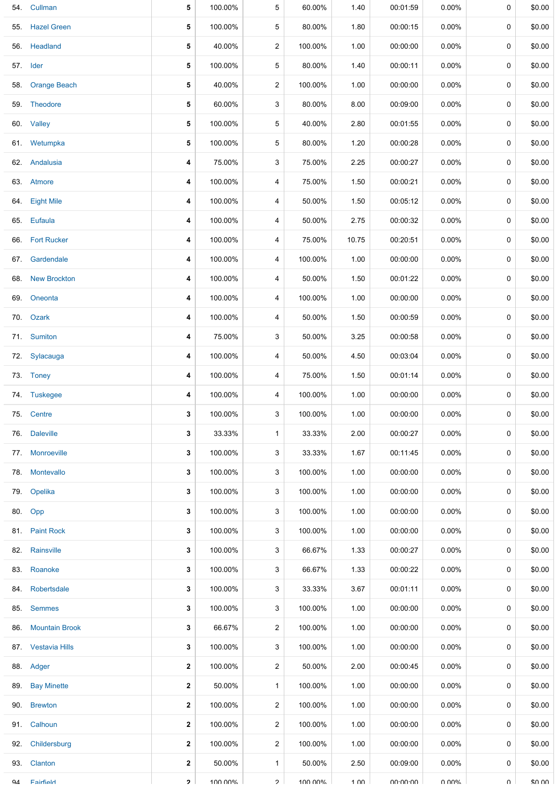|     | 54. Cullman         | 5            | 100.00% | 5              | 60.00%  | 1.40            | 00:01:59        | 0.00%    | 0        | \$0.00 |
|-----|---------------------|--------------|---------|----------------|---------|-----------------|-----------------|----------|----------|--------|
| 55. | <b>Hazel Green</b>  | 5            | 100.00% | 5              | 80.00%  | 1.80            | 00:00:15        | $0.00\%$ | 0        | \$0.00 |
|     | 56. Headland        | 5            | 40.00%  | 2              | 100.00% | 1.00            | 00:00:00        | $0.00\%$ | 0        | \$0.00 |
|     | 57. Ider            | 5            | 100.00% | 5              | 80.00%  | 1.40            | 00:00:11        | $0.00\%$ | 0        | \$0.00 |
|     | 58. Orange Beach    | 5            | 40.00%  | $\overline{c}$ | 100.00% | 1.00            | 00:00:00        | $0.00\%$ | 0        | \$0.00 |
|     | 59. Theodore        | 5            | 60.00%  | 3              | 80.00%  | 8.00            | 00:09:00        | $0.00\%$ | 0        | \$0.00 |
|     | 60. Valley          | 5            | 100.00% | 5              | 40.00%  | 2.80            | 00:01:55        | $0.00\%$ | 0        | \$0.00 |
|     | 61. Wetumpka        | 5            | 100.00% | 5              | 80.00%  | 1.20            | 00:00:28        | $0.00\%$ | 0        | \$0.00 |
|     | 62. Andalusia       | 4            | 75.00%  | 3              | 75.00%  | 2.25            | 00:00:27        | $0.00\%$ | 0        | \$0.00 |
|     | 63. Atmore          | 4            | 100.00% | 4              | 75.00%  | 1.50            | 00:00:21        | $0.00\%$ | 0        | \$0.00 |
|     | 64. Eight Mile      | 4            | 100.00% | 4              | 50.00%  | 1.50            | 00:05:12        | $0.00\%$ | 0        | \$0.00 |
|     | 65. Eufaula         | 4            | 100.00% | 4              | 50.00%  | 2.75            | 00:00:32        | $0.00\%$ | 0        | \$0.00 |
|     | 66. Fort Rucker     | 4            | 100.00% | 4              | 75.00%  | 10.75           | 00:20:51        | $0.00\%$ | 0        | \$0.00 |
|     | 67. Gardendale      | 4            | 100.00% | 4              | 100.00% | 1.00            | 00:00:00        | $0.00\%$ | 0        | \$0.00 |
|     | 68. New Brockton    | 4            | 100.00% | 4              | 50.00%  | 1.50            | 00:01:22        | $0.00\%$ | 0        | \$0.00 |
|     | 69. Oneonta         | 4            | 100.00% | 4              | 100.00% | 1.00            | 00:00:00        | 0.00%    | 0        | \$0.00 |
|     | 70. Ozark           | 4            | 100.00% | 4              | 50.00%  | 1.50            | 00:00:59        | $0.00\%$ | 0        | \$0.00 |
|     | 71. Sumiton         | 4            | 75.00%  | 3              | 50.00%  | 3.25            | 00:00:58        | $0.00\%$ | 0        | \$0.00 |
|     | 72. Sylacauga       | 4            | 100.00% | 4              | 50.00%  | 4.50            | 00:03:04        | $0.00\%$ | 0        | \$0.00 |
|     | 73. Toney           | 4            | 100.00% | 4              | 75.00%  | 1.50            | 00:01:14        | $0.00\%$ | 0        | \$0.00 |
|     | 74. Tuskegee        | 4            | 100.00% | 4              | 100.00% | 1.00            | 00:00:00        | $0.00\%$ | 0        | \$0.00 |
|     | 75. Centre          | 3            | 100.00% | 3              | 100.00% | 1.00            | 00:00:00        | 0.00%    | 0        | \$0.00 |
|     | 76. Daleville       | 3            | 33.33%  | $\mathbf{1}$   | 33.33%  | 2.00            | 00:00:27        | $0.00\%$ | 0        | \$0.00 |
|     | 77. Monroeville     | 3            | 100.00% | 3              | 33.33%  | 1.67            | 00:11:45        | $0.00\%$ | 0        | \$0.00 |
|     | 78. Montevallo      | 3            | 100.00% | 3              | 100.00% | 1.00            | 00:00:00        | $0.00\%$ | 0        | \$0.00 |
|     | 79. Opelika         | 3            | 100.00% | 3              | 100.00% | 1.00            | 00:00:00        | $0.00\%$ | 0        | \$0.00 |
|     | 80. Opp             | 3            | 100.00% | 3              | 100.00% | 1.00            | 00:00:00        | $0.00\%$ | 0        | \$0.00 |
|     | 81. Paint Rock      | 3            | 100.00% | 3              | 100.00% | 1.00            | 00:00:00        | $0.00\%$ | 0        | \$0.00 |
|     | 82. Rainsville      | 3            | 100.00% | 3              | 66.67%  | 1.33            | 00:00:27        | $0.00\%$ | 0        | \$0.00 |
|     | 83. Roanoke         | 3            | 100.00% | 3              | 66.67%  | 1.33            | 00:00:22        | $0.00\%$ | 0        | \$0.00 |
|     | 84. Robertsdale     | 3            | 100.00% | 3              | 33.33%  | 3.67            | 00:01:11        | $0.00\%$ | 0        | \$0.00 |
|     | 85. Semmes          | 3            | 100.00% | 3              | 100.00% | 1.00            | 00:00:00        | $0.00\%$ | 0        | \$0.00 |
|     | 86. Mountain Brook  | 3            | 66.67%  | 2              | 100.00% | 1.00            | 00:00:00        | $0.00\%$ | 0        | \$0.00 |
|     | 87. Vestavia Hills  | 3            | 100.00% | 3              | 100.00% | 1.00            | 00:00:00        | $0.00\%$ | 0        | \$0.00 |
|     | 88. Adger           | $\mathbf{2}$ | 100.00% | $\overline{2}$ | 50.00%  | 2.00            | 00:00:45        | $0.00\%$ | 0        | \$0.00 |
|     | 89. Bay Minette     | $\mathbf{2}$ | 50.00%  | $\mathbf{1}$   | 100.00% | 1.00            | 00:00:00        | $0.00\%$ | 0        | \$0.00 |
|     | 90. Brewton         | $\mathbf{2}$ | 100.00% | 2              | 100.00% | 1.00            | 00:00:00        | $0.00\%$ | 0        | \$0.00 |
|     | 91. Calhoun         | $\mathbf{2}$ | 100.00% | 2              | 100.00% | 1.00            | 00:00:00        | $0.00\%$ | 0        | \$0.00 |
|     | 92. Childersburg    | $\mathbf{2}$ | 100.00% | 2              | 100.00% | 1.00            | 00:00:00        | $0.00\%$ | 0        | \$0.00 |
|     | 93. Clanton         | $\mathbf{2}$ | 50.00%  | $\mathbf{1}$   | 50.00%  | 2.50            | 00:09:00        | $0.00\%$ | $\Omega$ | \$0.00 |
|     | <b>94 Fairfield</b> | $\mathbf{p}$ | 100 00% | $\mathcal{P}$  | 100 00% | $1 \cap \Omega$ | <b>UU-UU-UU</b> | በ በበ%    | U        | ደበ በበ  |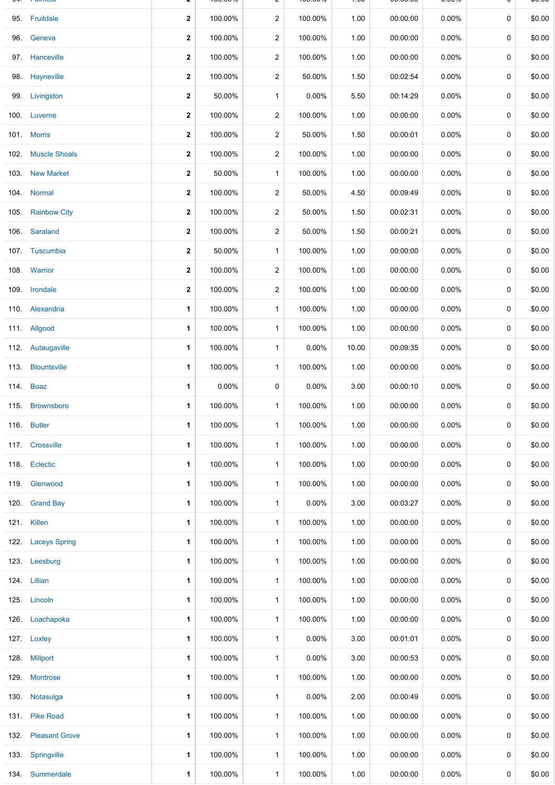|      | <b>Latitudia</b>    |              | 100.0070 |                | 100.0070 | $\overline{\phantom{a}}$ | 00.00.00 | 0.UU /u  |             | ψυ.υυ  |
|------|---------------------|--------------|----------|----------------|----------|--------------------------|----------|----------|-------------|--------|
|      | 95. Fruitdale       | $\mathbf{2}$ | 100.00%  | $\overline{2}$ | 100.00%  | 1.00                     | 00:00:00 | $0.00\%$ | $\mathbf 0$ | \$0.00 |
| 96.  | Geneva              | $\mathbf{2}$ | 100.00%  | $\overline{a}$ | 100.00%  | 1.00                     | 00:00:00 | $0.00\%$ | 0           | \$0.00 |
|      | 97. Hanceville      | $\mathbf{2}$ | 100.00%  | $\overline{2}$ | 100.00%  | 1.00                     | 00:00:00 | $0.00\%$ | 0           | \$0.00 |
|      | 98. Hayneville      | $\mathbf{2}$ | 100.00%  | $\overline{2}$ | 50.00%   | 1.50                     | 00:02:54 | $0.00\%$ | 0           | \$0.00 |
|      | 99. Livingston      | $\mathbf{2}$ | 50.00%   | $\mathbf{1}$   | 0.00%    | 5.50                     | 00:14:29 | $0.00\%$ | 0           | \$0.00 |
| 100. | Luverne             | $\mathbf{2}$ | 100.00%  | $\overline{a}$ | 100.00%  | 1.00                     | 00:00:00 | $0.00\%$ | 0           | \$0.00 |
|      | 101. Morris         | $\mathbf{2}$ | 100.00%  | $\overline{2}$ | 50.00%   | 1.50                     | 00:00:01 | $0.00\%$ | 0           | \$0.00 |
|      | 102. Muscle Shoals  | $\mathbf{2}$ | 100.00%  | $\overline{2}$ | 100.00%  | 1.00                     | 00:00:00 | $0.00\%$ | $\mathbf 0$ | \$0.00 |
|      | 103. New Market     | $\mathbf{2}$ | 50.00%   | $\mathbf{1}$   | 100.00%  | 1.00                     | 00:00:00 | $0.00\%$ | 0           | \$0.00 |
|      | 104. Normal         | $\mathbf{2}$ | 100.00%  | $\overline{2}$ | 50.00%   | 4.50                     | 00:09:49 | $0.00\%$ | $\mathbf 0$ | \$0.00 |
|      | 105. Rainbow City   | $\mathbf{2}$ | 100.00%  | $\overline{2}$ | 50.00%   | 1.50                     | 00:02:31 | $0.00\%$ | 0           | \$0.00 |
|      | 106. Saraland       | $\mathbf{2}$ | 100.00%  | $\overline{2}$ | 50.00%   | 1.50                     | 00:00:21 | $0.00\%$ | 0           | \$0.00 |
|      | 107. Tuscumbia      | $\mathbf{2}$ | 50.00%   | $\mathbf{1}$   | 100.00%  | 1.00                     | 00:00:00 | $0.00\%$ | 0           | \$0.00 |
|      | 108. Warrior        | $\mathbf{2}$ | 100.00%  | 2              | 100.00%  | 1.00                     | 00:00:00 | $0.00\%$ | 0           | \$0.00 |
|      | 109. Irondale       | $\mathbf{2}$ | 100.00%  | $\overline{2}$ | 100.00%  | 1.00                     | 00:00:00 | $0.00\%$ | $\mathbf 0$ | \$0.00 |
|      | 110. Alexandria     | 1            | 100.00%  | $\mathbf{1}$   | 100.00%  | 1.00                     | 00:00:00 | $0.00\%$ | 0           | \$0.00 |
|      | 111. Allgood        | $\mathbf{1}$ | 100.00%  | $\mathbf{1}$   | 100.00%  | 1.00                     | 00:00:00 | $0.00\%$ | 0           | \$0.00 |
|      | 112. Autaugaville   | 1            | 100.00%  | $\mathbf{1}$   | 0.00%    | 10.00                    | 00:09:35 | $0.00\%$ | 0           | \$0.00 |
|      | 113. Blountsville   | 1            | 100.00%  | $\mathbf{1}$   | 100.00%  | 1.00                     | 00:00:00 | $0.00\%$ | 0           | \$0.00 |
|      | 114. Boaz           | 1            | 0.00%    | 0              | 0.00%    | 3.00                     | 00:00:10 | $0.00\%$ | 0           | \$0.00 |
|      | 115. Brownsboro     | 1            | 100.00%  | $\mathbf{1}$   | 100.00%  | 1.00                     | 00:00:00 | $0.00\%$ | 0           | \$0.00 |
|      | 116. Butler         | 1            | 100.00%  | $\mathbf{1}$   | 100.00%  | 1.00                     | 00:00:00 | 0.00%    | 0           | \$0.00 |
|      | 117. Crossville     | 1            | 100.00%  | $\mathbf{1}$   | 100.00%  | 1.00                     | 00:00:00 | $0.00\%$ | $\mathbf 0$ | \$0.00 |
|      | 118. Eclectic       | 1            | 100.00%  | $\mathbf{1}$   | 100.00%  | 1.00                     | 00:00:00 | $0.00\%$ | 0           | \$0.00 |
|      | 119. Glenwood       | 1            | 100.00%  | $\mathbf{1}$   | 100.00%  | 1.00                     | 00:00:00 | 0.00%    | 0           | \$0.00 |
|      | 120. Grand Bay      | 1            | 100.00%  | $\mathbf{1}$   | $0.00\%$ | 3.00                     | 00:03:27 | $0.00\%$ | 0           | \$0.00 |
|      | 121. Killen         | 1            | 100.00%  | $\mathbf{1}$   | 100.00%  | 1.00                     | 00:00:00 | $0.00\%$ | 0           | \$0.00 |
|      | 122. Laceys Spring  | 1            | 100.00%  | $\mathbf{1}$   | 100.00%  | 1.00                     | 00:00:00 | $0.00\%$ | 0           | \$0.00 |
|      | 123. Leesburg       | 1            | 100.00%  | $\mathbf{1}$   | 100.00%  | 1.00                     | 00:00:00 | $0.00\%$ | 0           | \$0.00 |
|      | 124. Lillian        | 1            | 100.00%  | $\mathbf{1}$   | 100.00%  | 1.00                     | 00:00:00 | $0.00\%$ | 0           | \$0.00 |
|      | 125. Lincoln        | 1            | 100.00%  | $\mathbf{1}$   | 100.00%  | 1.00                     | 00:00:00 | $0.00\%$ | 0           | \$0.00 |
| 126. | Loachapoka          | 1            | 100.00%  | $\mathbf{1}$   | 100.00%  | 1.00                     | 00:00:00 | $0.00\%$ | 0           | \$0.00 |
|      | 127. Loxley         | 1            | 100.00%  | $\mathbf{1}$   | $0.00\%$ | 3.00                     | 00:01:01 | $0.00\%$ | 0           | \$0.00 |
|      | 128. Millport       | 1            | 100.00%  | $\mathbf{1}$   | $0.00\%$ | 3.00                     | 00:00:53 | $0.00\%$ | 0           | \$0.00 |
|      | 129. Montrose       | 1            | 100.00%  | $\mathbf{1}$   | 100.00%  | 1.00                     | 00:00:00 | $0.00\%$ | 0           | \$0.00 |
| 130. | Notasulga           | 1            | 100.00%  | $\mathbf{1}$   | $0.00\%$ | 2.00                     | 00:00:49 | $0.00\%$ | 0           | \$0.00 |
|      | 131. Pike Road      | 1            | 100.00%  | $\mathbf{1}$   | 100.00%  | 1.00                     | 00:00:00 | $0.00\%$ | 0           | \$0.00 |
|      | 132. Pleasant Grove | 1            | 100.00%  | $\mathbf{1}$   | 100.00%  | 1.00                     | 00:00:00 | $0.00\%$ | 0           | \$0.00 |
|      | 133. Springville    | 1            | 100.00%  | $\mathbf{1}$   | 100.00%  | 1.00                     | 00:00:00 | $0.00\%$ | 0           | \$0.00 |
|      | 134. Summerdale     | 1            | 100.00%  | 1              | 100.00%  | 1.00                     | 00:00:00 | $0.00\%$ | 0           | \$0.00 |

 $100.0070$ 

 $100.0070$ 

 $1.00$ 

0 0:0 0:0 0

0.0 0 %

 $\mathbf{\mathsf{v}}$ 

Ψ 0.0  $\mathbf{\mathsf{v}}$ 

 $9 - 1$  annono